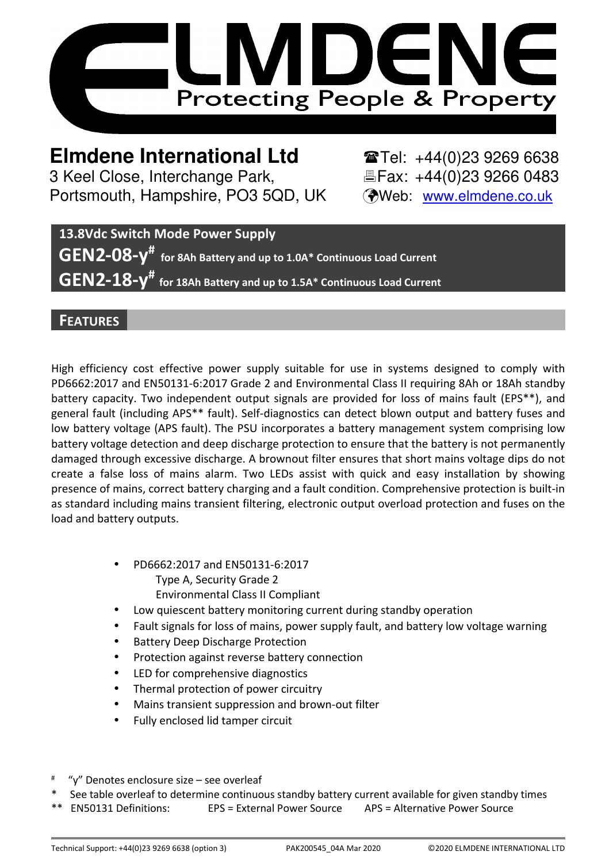

**Elmdene International Ltd**  $\bullet$  **Tel: +44(0)23 9269 6638** 3 Keel Close, Interchange Park, Eleax: +44(0)23 9266 0483 Portsmouth, Hampshire, PO3 5QD, UK (Web: www.elmdene.co.uk

**13.8Vdc Switch Mode Power Supply GEN2-08-y# for 8Ah Battery and up to 1.0A\* Continuous Load Current GEN2-18-y# for 18Ah Battery and up to 1.5A\* Continuous Load Current**

# **FEATURES**

High efficiency cost effective power supply suitable for use in systems designed to comply with PD6662:2017 and EN50131-6:2017 Grade 2 and Environmental Class II requiring 8Ah or 18Ah standby battery capacity. Two independent output signals are provided for loss of mains fault (EPS\*\*), and general fault (including APS\*\* fault). Self-diagnostics can detect blown output and battery fuses and low battery voltage (APS fault). The PSU incorporates a battery management system comprising low battery voltage detection and deep discharge protection to ensure that the battery is not permanently damaged through excessive discharge. A brownout filter ensures that short mains voltage dips do not create a false loss of mains alarm. Two LEDs assist with quick and easy installation by showing presence of mains, correct battery charging and a fault condition. Comprehensive protection is built-in as standard including mains transient filtering, electronic output overload protection and fuses on the load and battery outputs.

- PD6662:2017 and EN50131-6:2017 Type A, Security Grade 2 Environmental Class II Compliant
- Low quiescent battery monitoring current during standby operation
- Fault signals for loss of mains, power supply fault, and battery low voltage warning
- Battery Deep Discharge Protection
- Protection against reverse battery connection
- LED for comprehensive diagnostics
- Thermal protection of power circuitry
- Mains transient suppression and brown-out filter
- Fully enclosed lid tamper circuit
- # "y" Denotes enclosure size – see overleaf
- See table overleaf to determine continuous standby battery current available for given standby times
- \*\* EN50131 Definitions: EPS = External Power Source APS = Alternative Power Source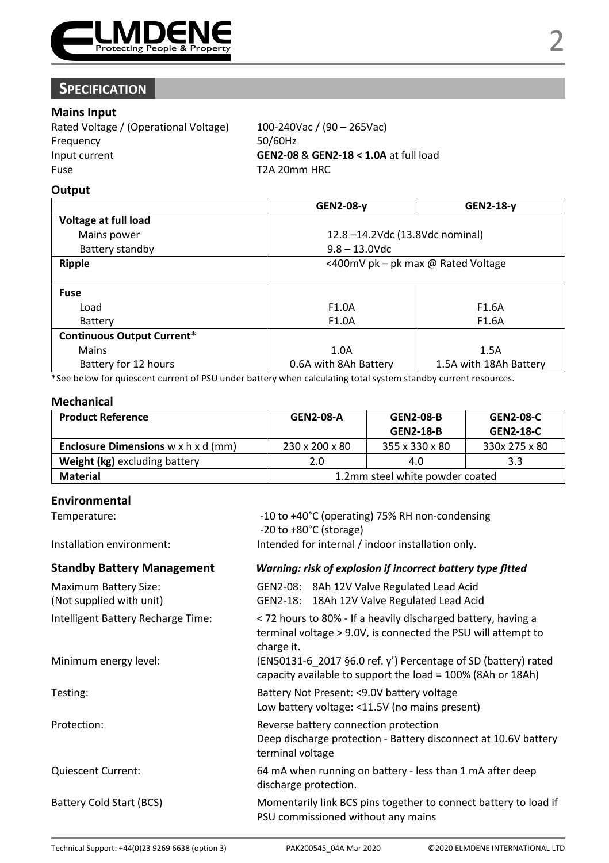

# **SPECIFICATION**

### **Mains Input**

| Rated Voltage / (Operational Voltage) | 100-240Vac / (90 - 265Vac)            |
|---------------------------------------|---------------------------------------|
| Frequency                             | 50/60Hz                               |
| Input current                         | GEN2-08 & GEN2-18 < 1.0A at full load |
| Fuse                                  | T2A 20mm HRC                          |

#### **Output**

| GEN2-08-y                          | GEN2-18-y              |
|------------------------------------|------------------------|
|                                    |                        |
| 12.8-14.2Vdc (13.8Vdc nominal)     |                        |
| $9.8 - 13.0$ Vdc                   |                        |
| <400mV pk - pk max @ Rated Voltage |                        |
|                                    |                        |
|                                    |                        |
| F <sub>1.0</sub> A                 | F <sub>1.6</sub> A     |
| F1.0A                              | F1.6A                  |
|                                    |                        |
| 1.0A                               | 1.5A                   |
| 0.6A with 8Ah Battery              | 1.5A with 18Ah Battery |
|                                    |                        |

\*See below for quiescent current of PSU under battery when calculating total system standby current resources.

#### **Mechanical**

| <b>Product Reference</b>                               | <b>GEN2-08-A</b>                | <b>GEN2-08-B</b> | <b>GEN2-08-C</b> |
|--------------------------------------------------------|---------------------------------|------------------|------------------|
|                                                        |                                 | <b>GEN2-18-B</b> | <b>GEN2 18 C</b> |
| <b>Enclosure Dimensions</b> $w \times h \times d$ (mm) | 230 x 200 x 80                  | 355 x 330 x 80   | 330x 275 x 80    |
| Weight (kg) excluding battery                          | 2.0                             | 4.0              | 3.3              |
| Material                                               | 1.2mm steel white powder coated |                  |                  |

#### **Environmental**

| Environmental                                            |                                                                                                                                              |  |
|----------------------------------------------------------|----------------------------------------------------------------------------------------------------------------------------------------------|--|
| Temperature:                                             | -10 to +40°C (operating) 75% RH non-condensing<br>$-20$ to $+80^{\circ}$ C (storage)                                                         |  |
| Installation environment:                                | Intended for internal / indoor installation only.                                                                                            |  |
| <b>Standby Battery Management</b>                        | Warning: risk of explosion if incorrect battery type fitted                                                                                  |  |
| <b>Maximum Battery Size:</b><br>(Not supplied with unit) | GEN2-08: 8Ah 12V Valve Regulated Lead Acid<br>GEN2-18: 18Ah 12V Valve Regulated Lead Acid                                                    |  |
| Intelligent Battery Recharge Time:                       | < 72 hours to 80% - If a heavily discharged battery, having a<br>terminal voltage > 9.0V, is connected the PSU will attempt to<br>charge it. |  |
| Minimum energy level:                                    | (EN50131-6 2017 §6.0 ref. y') Percentage of SD (battery) rated<br>capacity available to support the load = 100% (8Ah or 18Ah)                |  |
| Testing:                                                 | Battery Not Present: <9.0V battery voltage<br>Low battery voltage: <11.5V (no mains present)                                                 |  |
| Protection:                                              | Reverse battery connection protection<br>Deep discharge protection - Battery disconnect at 10.6V battery<br>terminal voltage                 |  |
| <b>Quiescent Current:</b>                                | 64 mA when running on battery - less than 1 mA after deep<br>discharge protection.                                                           |  |
| Battery Cold Start (BCS)                                 | Momentarily link BCS pins together to connect battery to load if<br>PSU commissioned without any mains                                       |  |
|                                                          |                                                                                                                                              |  |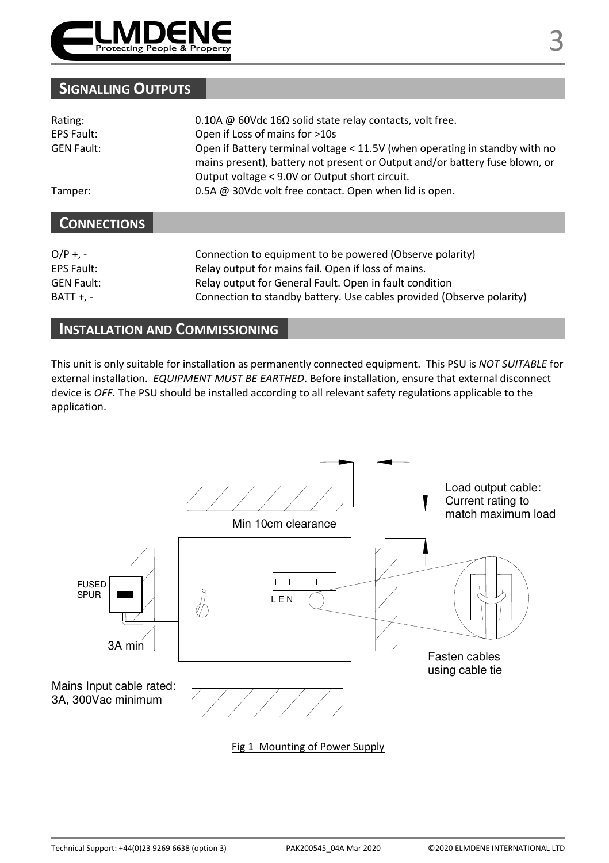

# **SIGNALLING OUTPUTS**

| Rating:<br>EPS Fault: | 0.10A @ 60Vdc 16 $\Omega$ solid state relay contacts, volt free.<br>Open if Loss of mains for >10s                                                                                                           |
|-----------------------|--------------------------------------------------------------------------------------------------------------------------------------------------------------------------------------------------------------|
| <b>GEN Fault:</b>     | Open if Battery terminal voltage < 11.5V (when operating in standby with no<br>mains present), battery not present or Output and/or battery fuse blown, or<br>Output voltage < 9.0V or Output short circuit. |
| Tamper:               | 0.5A @ 30Vdc volt free contact. Open when lid is open.                                                                                                                                                       |
| <b>CONNECTIONS</b>    |                                                                                                                                                                                                              |
|                       |                                                                                                                                                                                                              |

| $O/P + -$         | Connection to equipment to be powered (Observe polarity)              |
|-------------------|-----------------------------------------------------------------------|
| EPS Fault:        | Relay output for mains fail. Open if loss of mains.                   |
| <b>GEN Fault:</b> | Relay output for General Fault. Open in fault condition               |
| <b>BATT +. -</b>  | Connection to standby battery. Use cables provided (Observe polarity) |

# **INSTALLATION AND COMMISSIONING**

This unit is only suitable for installation as permanently connected equipment. This PSU is *NOT SUITABLE* for external installation. *EQUIPMENT MUST BE EARTHED*. Before installation, ensure that external disconnect device is *OFF*. The PSU should be installed according to all relevant safety regulations applicable to the application.



Fig 1 Mounting of Power Supply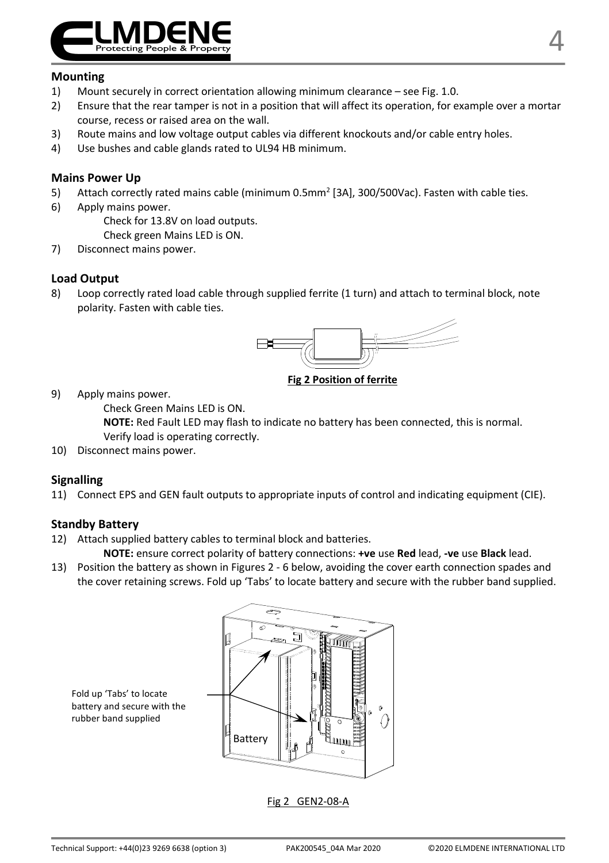

#### **Mounting**

- 1) Mount securely in correct orientation allowing minimum clearance see Fig. 1.0.
- 2) Ensure that the rear tamper is not in a position that will affect its operation, for example over a mortar course, recess or raised area on the wall.
- 3) Route mains and low voltage output cables via different knockouts and/or cable entry holes.
- 4) Use bushes and cable glands rated to UL94 HB minimum.

#### **Mains Power Up**

- 5) Attach correctly rated mains cable (minimum 0.5mm<sup>2</sup> [3A], 300/500Vac). Fasten with cable ties.
- 6) Apply mains power.

Check for 13.8V on load outputs.

Check green Mains LED is ON.

7) Disconnect mains power.

#### **Load Output**

8) Loop correctly rated load cable through supplied ferrite (1 turn) and attach to terminal block, note polarity. Fasten with cable ties.



**Fig 2 Position of ferrite**

9) Apply mains power.

Check Green Mains LED is ON.

**NOTE:** Red Fault LED may flash to indicate no battery has been connected, this is normal. Verify load is operating correctly.

10) Disconnect mains power.

#### **Signalling**

11) Connect EPS and GEN fault outputs to appropriate inputs of control and indicating equipment (CIE).

#### **Standby Battery**

12) Attach supplied battery cables to terminal block and batteries.

**NOTE:** ensure correct polarity of battery connections: **+ve** use **Red** lead, **-ve** use **Black** lead.

13) Position the battery as shown in Figures 2 - 6 below, avoiding the cover earth connection spades and the cover retaining screws. Fold up 'Tabs' to locate battery and secure with the rubber band supplied.



Fold up 'Tabs' to locate battery and secure with the rubber band supplied

Fig 2 GEN2-08-A

4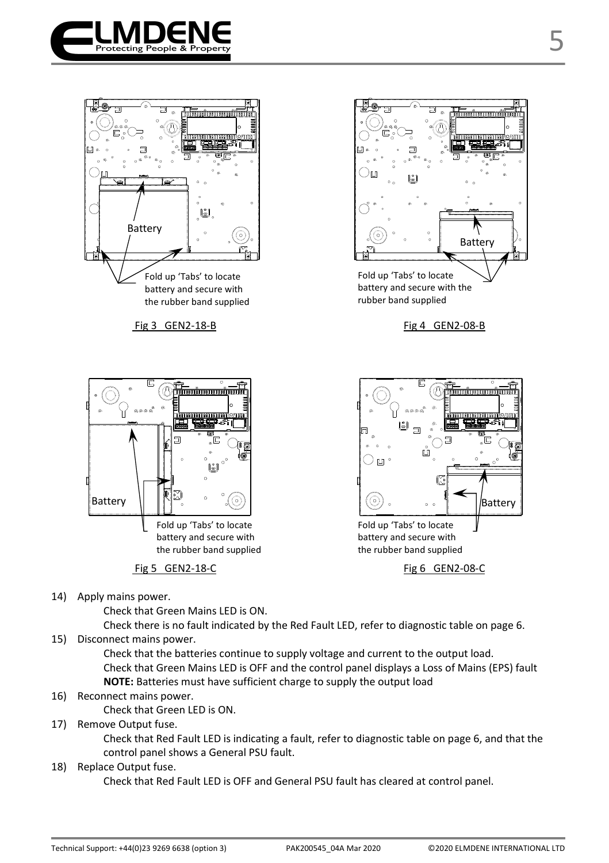







Fig 5 GEN2-18-C Fig 6 GEN2-08-C



battery and secure with the rubber band supplied

14) Apply mains power.

Check that Green Mains LED is ON.

Check there is no fault indicated by the Red Fault LED, refer to diagnostic table on page 6.

15) Disconnect mains power.

Check that the batteries continue to supply voltage and current to the output load. Check that Green Mains LED is OFF and the control panel displays a Loss of Mains (EPS) fault **NOTE:** Batteries must have sufficient charge to supply the output load

16) Reconnect mains power.

Check that Green LED is ON.

17) Remove Output fuse.

Check that Red Fault LED is indicating a fault, refer to diagnostic table on page 6, and that the control panel shows a General PSU fault.

18) Replace Output fuse.

Check that Red Fault LED is OFF and General PSU fault has cleared at control panel.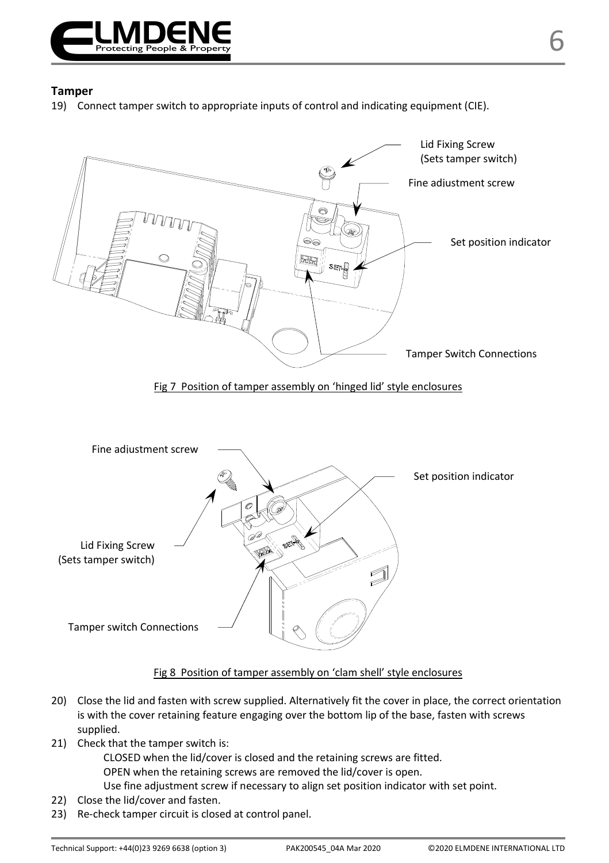

19) Connect tamper switch to appropriate inputs of control and indicating equipment (CIE).



#### Fig 8 Position of tamper assembly on 'clam shell' style enclosures

- 20) Close the lid and fasten with screw supplied. Alternatively fit the cover in place, the correct orientation is with the cover retaining feature engaging over the bottom lip of the base, fasten with screws supplied.
- 21) Check that the tamper switch is:

CLOSED when the lid/cover is closed and the retaining screws are fitted.

OPEN when the retaining screws are removed the lid/cover is open.

- Use fine adjustment screw if necessary to align set position indicator with set point.
- 22) Close the lid/cover and fasten.
- 23) Re-check tamper circuit is closed at control panel.

6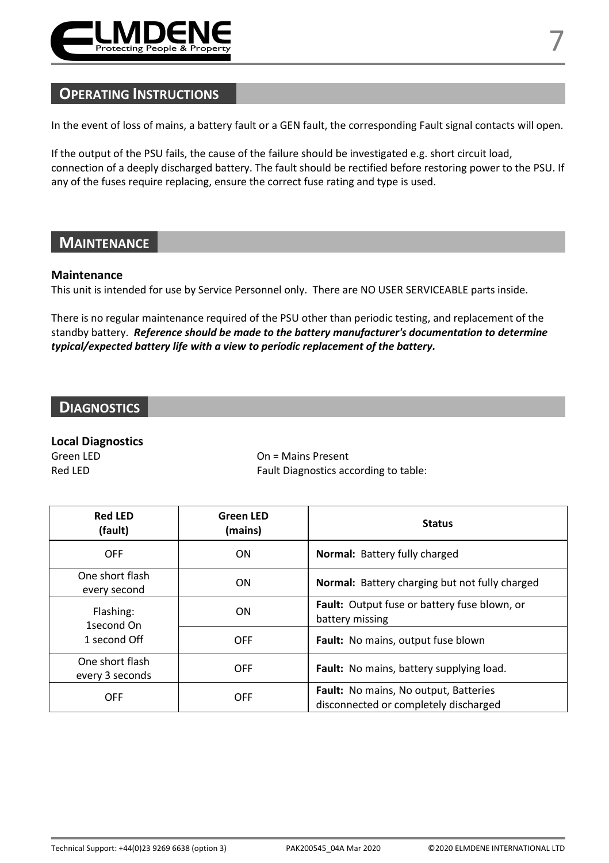

In the event of loss of mains, a battery fault or a GEN fault, the corresponding Fault signal contacts will open.

If the output of the PSU fails, the cause of the failure should be investigated e.g. short circuit load, connection of a deeply discharged battery. The fault should be rectified before restoring power to the PSU. If any of the fuses require replacing, ensure the correct fuse rating and type is used.

### **MAINTENANCE**

#### **Maintenance**

This unit is intended for use by Service Personnel only. There are NO USER SERVICEABLE parts inside.

There is no regular maintenance required of the PSU other than periodic testing, and replacement of the standby battery. *Reference should be made to the battery manufacturer's documentation to determine typical/expected battery life with a view to periodic replacement of the battery.* 

# **DIAGNOSTICS**

#### **Local Diagnostics**

Green LED **Calculate Connect Connect Connect Connect Connect Connect Connect Connect Connect Connect Connect Connect Connect Connect Connect Connect Connect Connect Connect Connect Connect Connect Connect Connect Connect C** Red LED Fault Diagnostics according to table:

| <b>Red LED</b><br>(fault)               | <b>Green LED</b><br>(mains) | <b>Status</b>                                                                         |
|-----------------------------------------|-----------------------------|---------------------------------------------------------------------------------------|
| OFF                                     | ON                          | Normal: Battery fully charged                                                         |
| One short flash<br>every second         | ON                          | <b>Normal:</b> Battery charging but not fully charged                                 |
| Flashing:<br>1second On<br>1 second Off | ON                          | Fault: Output fuse or battery fuse blown, or<br>battery missing                       |
|                                         | <b>OFF</b>                  | <b>Fault:</b> No mains, output fuse blown                                             |
| One short flash<br>every 3 seconds      | <b>OFF</b>                  | Fault: No mains, battery supplying load.                                              |
| OFF                                     | OFF                         | <b>Fault:</b> No mains, No output, Batteries<br>disconnected or completely discharged |